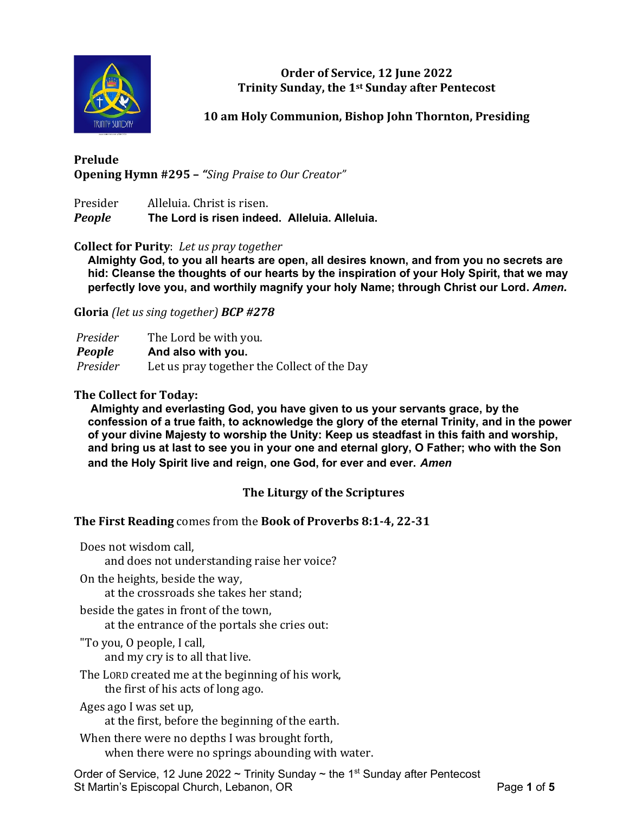

**Order of Service, 12 June 2022 Trinity Sunday, the 1st Sunday after Pentecost**

**10 am Holy Communion, Bishop John Thornton, Presiding**

# **Prelude Opening Hymn #295 –** *"Sing Praise to Our Creator"*

Presider Alleluia. Christ is risen. *People* **The Lord is risen indeed. Alleluia. Alleluia.**

## **Collect for Purity**: *Let us pray together*

**Almighty God, to you all hearts are open, all desires known, and from you no secrets are hid: Cleanse the thoughts of our hearts by the inspiration of your Holy Spirit, that we may perfectly love you, and worthily magnify your holy Name; through Christ our Lord.** *Amen.*

**Gloria** *(let us sing together) BCP #278*

| Presider      | The Lord be with you.                       |
|---------------|---------------------------------------------|
| <b>People</b> | And also with you.                          |
| Presider      | Let us pray together the Collect of the Day |

## **The Collect for Today:**

**Almighty and everlasting God, you have given to us your servants grace, by the confession of a true faith, to acknowledge the glory of the eternal Trinity, and in the power of your divine Majesty to worship the Unity: Keep us steadfast in this faith and worship, and bring us at last to see you in your one and eternal glory, O Father; who with the Son and the Holy Spirit live and reign, one God, for ever and ever.** *Amen* 

# **The Liturgy of the Scriptures**

**The First Reading** comes from the **Book of Proverbs 8:1-4, 22-31**

Does not wisdom call,

and does not understanding raise her voice?

On the heights, beside the way,

at the crossroads she takes her stand;

beside the gates in front of the town,

at the entrance of the portals she cries out:

"To you, O people, I call,

and my cry is to all that live.

The LORD created me at the beginning of his work, the first of his acts of long ago.

Ages ago I was set up,

at the first, before the beginning of the earth.

When there were no depths I was brought forth, when there were no springs abounding with water.

Order of Service, 12 June 2022 ~ Trinity Sunday ~ the 1<sup>st</sup> Sunday after Pentecost St Martin's Episcopal Church, Lebanon, OR Page 1 of 5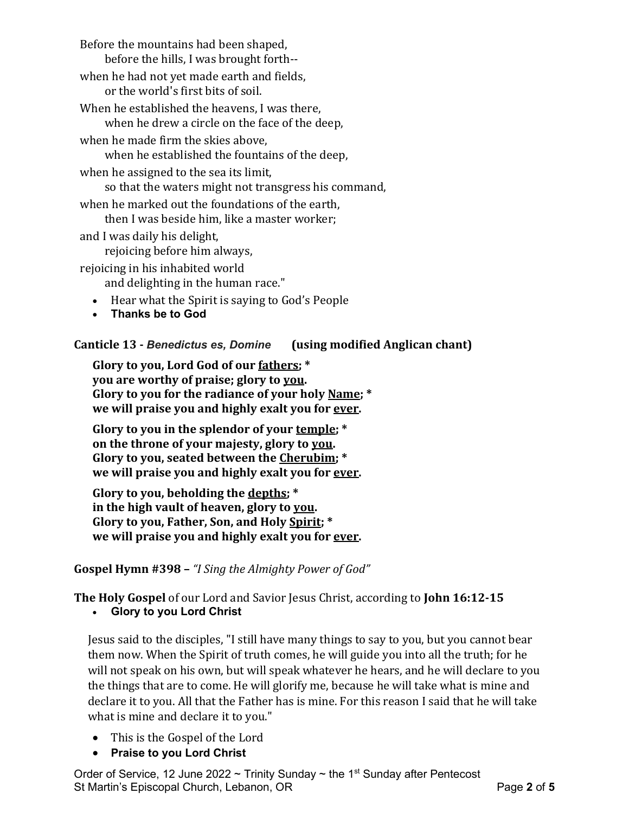Before the mountains had been shaped, before the hills, I was brought forth- when he had not yet made earth and fields, or the world's first bits of soil. When he established the heavens, I was there, when he drew a circle on the face of the deep, when he made firm the skies above, when he established the fountains of the deep, when he assigned to the sea its limit, so that the waters might not transgress his command, when he marked out the foundations of the earth, then I was beside him, like a master worker; and I was daily his delight,

rejoicing before him always,

rejoicing in his inhabited world

and delighting in the human race."

- Hear what the Spirit is saying to God's People
- **Thanks be to God**

**Canticle 13 -** *Benedictus es, Domine* **(using modified Anglican chant)**

**Glory to you, Lord God of our fathers; \* you are worthy of praise; glory to you. Glory to you for the radiance of your holy Name; \* we will praise you and highly exalt you for ever.**

**Glory to you in the splendor of your temple; \* on the throne of your majesty, glory to you. Glory to you, seated between the Cherubim; \* we will praise you and highly exalt you for ever.**

**Glory to you, beholding the depths; \* in the high vault of heaven, glory to you. Glory to you, Father, Son, and Holy Spirit; \* we will praise you and highly exalt you for ever.**

**Gospel Hymn #398 –** *"I Sing the Almighty Power of God"*

**The Holy Gospel** of our Lord and Savior Jesus Christ, according to **John 16:12-15**

• **Glory to you Lord Christ**

Jesus said to the disciples, "I still have many things to say to you, but you cannot bear them now. When the Spirit of truth comes, he will guide you into all the truth; for he will not speak on his own, but will speak whatever he hears, and he will declare to you the things that are to come. He will glorify me, because he will take what is mine and declare it to you. All that the Father has is mine. For this reason I said that he will take what is mine and declare it to you."

- This is the Gospel of the Lord
- **Praise to you Lord Christ**

Order of Service, 12 June 2022 ~ Trinity Sunday ~ the 1<sup>st</sup> Sunday after Pentecost St Martin's Episcopal Church, Lebanon, OR Page **2** of **5**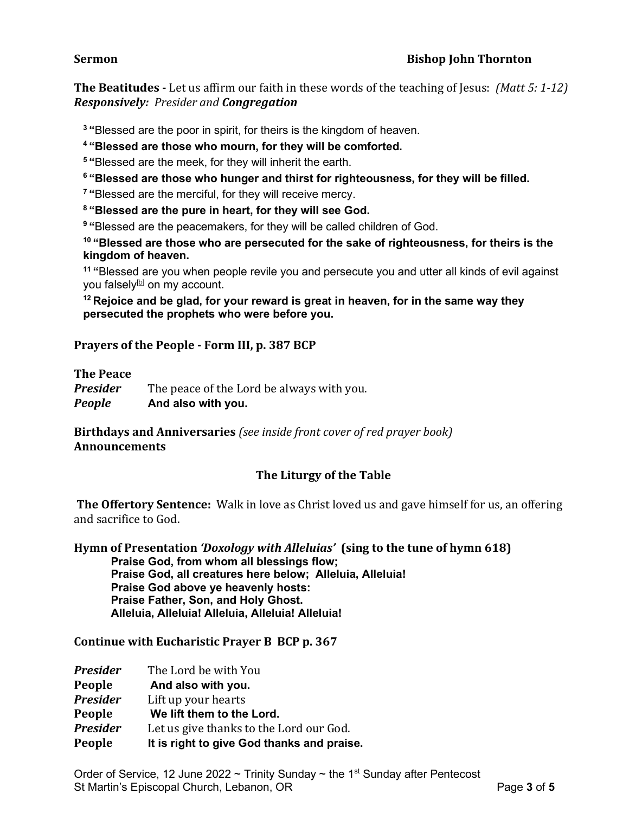## **Sermon Bishop John Thornton**

**The Beatitudes -** Let us affirm our faith in these words of the teaching of Jesus: *(Matt 5: 1-12) Responsively: Presider and Congregation*

**<sup>3</sup> "**Blessed are the poor in spirit, for theirs is the kingdom of heaven.

**<sup>4</sup> "Blessed are those who mourn, for they will be comforted.**

**<sup>5</sup> "**Blessed are the meek, for they will inherit the earth.

**<sup>6</sup> "Blessed are those who hunger and thirst for righteousness, for they will be filled.**

**<sup>7</sup> "**Blessed are the merciful, for they will receive mercy.

**<sup>8</sup> "Blessed are the pure in heart, for they will see God.**

**<sup>9</sup> "**Blessed are the peacemakers, for they will be called children of God.

**<sup>10</sup> "Blessed are those who are persecuted for the sake of righteousness, for theirs is the kingdom of heaven.**

**<sup>11</sup> "**Blessed are you when people revile you and persecute you and utter all kinds of evil against you falsely $[<sup>b</sup>]$  on my account.

**<sup>12</sup> Rejoice and be glad, for your reward is great in heaven, for in the same way they persecuted the prophets who were before you.**

#### **Prayers of the People - Form III, p. 387 BCP**

**The Peace**

*Presider* The peace of the Lord be always with you. *People* **And also with you.**

**Birthdays and Anniversaries** *(see inside front cover of red prayer book)* **Announcements**

## **The Liturgy of the Table**

**The Offertory Sentence:** Walk in love as Christ loved us and gave himself for us, an offering and sacrifice to God.

**Hymn of Presentation** *'Doxology with Alleluias'* **(sing to the tune of hymn 618) Praise God, from whom all blessings flow; Praise God, all creatures here below; Alleluia, Alleluia! Praise God above ye heavenly hosts: Praise Father, Son, and Holy Ghost. Alleluia, Alleluia! Alleluia, Alleluia! Alleluia!**

**Continue with Eucharistic Prayer B BCP p. 367**

| <b>Presider</b> | The Lord be with You                       |
|-----------------|--------------------------------------------|
| People          | And also with you.                         |
| <b>Presider</b> | Lift up your hearts                        |
| People          | We lift them to the Lord.                  |
| <b>Presider</b> | Let us give thanks to the Lord our God.    |
| People          | It is right to give God thanks and praise. |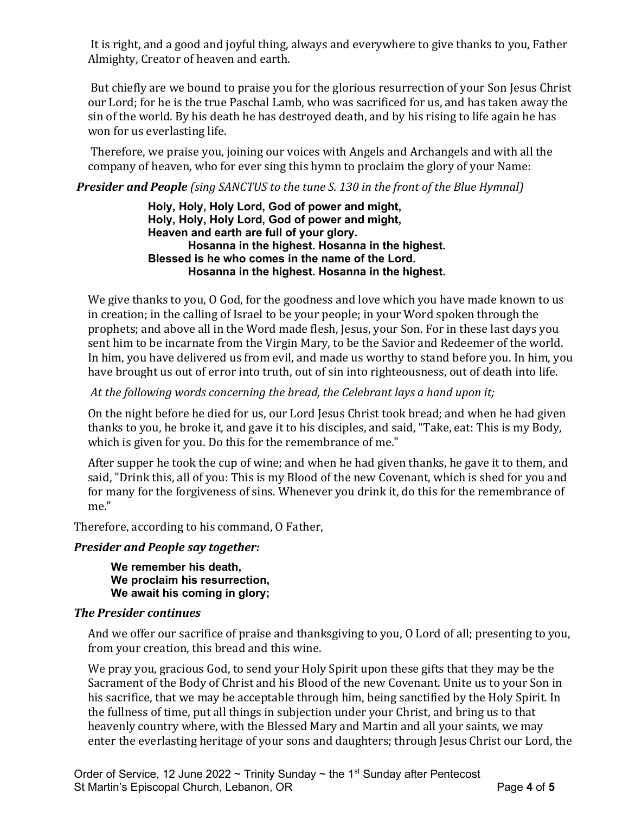It is right, and a good and joyful thing, always and everywhere to give thanks to you, Father Almighty, Creator of heaven and earth.

But chiefly are we bound to praise you for the glorious resurrection of your Son Jesus Christ our Lord; for he is the true Paschal Lamb, who was sacrificed for us, and has taken away the sin of the world. By his death he has destroyed death, and by his rising to life again he has won for us everlasting life.

Therefore, we praise you, joining our voices with Angels and Archangels and with all the company of heaven, who for ever sing this hymn to proclaim the glory of your Name:

*Presider and People (sing SANCTUS to the tune S. 130 in the front of the Blue Hymnal)*

**Holy, Holy, Holy Lord, God of power and might, Holy, Holy, Holy Lord, God of power and might, Heaven and earth are full of your glory. Hosanna in the highest. Hosanna in the highest. Blessed is he who comes in the name of the Lord. Hosanna in the highest. Hosanna in the highest.**

We give thanks to you, O God, for the goodness and love which you have made known to us in creation; in the calling of Israel to be your people; in your Word spoken through the prophets; and above all in the Word made flesh, Jesus, your Son. For in these last days you sent him to be incarnate from the Virgin Mary, to be the Savior and Redeemer of the world. In him, you have delivered us from evil, and made us worthy to stand before you. In him, you have brought us out of error into truth, out of sin into righteousness, out of death into life.

*At the following words concerning the bread, the Celebrant lays a hand upon it;*

On the night before he died for us, our Lord Jesus Christ took bread; and when he had given thanks to you, he broke it, and gave it to his disciples, and said, "Take, eat: This is my Body, which is given for you. Do this for the remembrance of me."

After supper he took the cup of wine; and when he had given thanks, he gave it to them, and said, "Drink this, all of you: This is my Blood of the new Covenant, which is shed for you and for many for the forgiveness of sins. Whenever you drink it, do this for the remembrance of me."

Therefore, according to his command, O Father,

# *Presider and People say together:*

**We remember his death, We proclaim his resurrection, We await his coming in glory;**

# *The Presider continues*

And we offer our sacrifice of praise and thanksgiving to you, O Lord of all; presenting to you, from your creation, this bread and this wine.

We pray you, gracious God, to send your Holy Spirit upon these gifts that they may be the Sacrament of the Body of Christ and his Blood of the new Covenant. Unite us to your Son in his sacrifice, that we may be acceptable through him, being sanctified by the Holy Spirit. In the fullness of time, put all things in subjection under your Christ, and bring us to that heavenly country where, with the Blessed Mary and Martin and all your saints, we may enter the everlasting heritage of your sons and daughters; through Jesus Christ our Lord, the